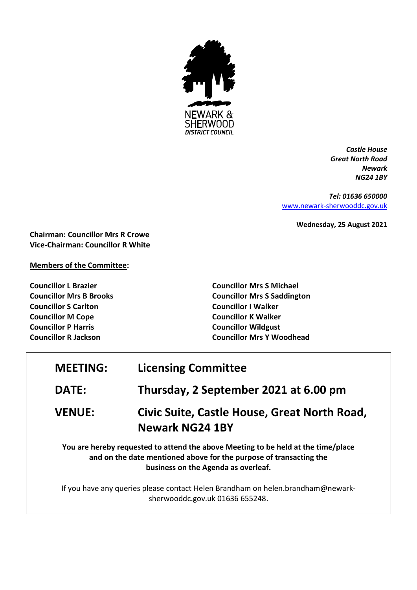

*Castle House Great North Road Newark NG24 1BY*

*Tel: 01636 650000* [www.newark-sherwooddc.gov.uk](http://www.newark-sherwooddc.gov.uk/)

**Wednesday, 25 August 2021**

**Chairman: Councillor Mrs R Crowe Vice-Chairman: Councillor R White**

**Members of the Committee:**

**Councillor L Brazier Councillor Mrs B Brooks Councillor S Carlton Councillor M Cope Councillor P Harris Councillor R Jackson**

**Councillor Mrs S Michael Councillor Mrs S Saddington Councillor I Walker Councillor K Walker Councillor Wildgust Councillor Mrs Y Woodhead**

| <b>MEETING:</b> | <b>Licensing Committee</b>            |
|-----------------|---------------------------------------|
| <b>DATE:</b>    | Thursday, 2 September 2021 at 6.00 pm |

## **VENUE: Civic Suite, Castle House, Great North Road, Newark NG24 1BY**

**You are hereby requested to attend the above Meeting to be held at the time/place and on the date mentioned above for the purpose of transacting the business on the Agenda as overleaf.**

If you have any queries please contact Helen Brandham on helen.brandham@newarksherwooddc.gov.uk 01636 655248.